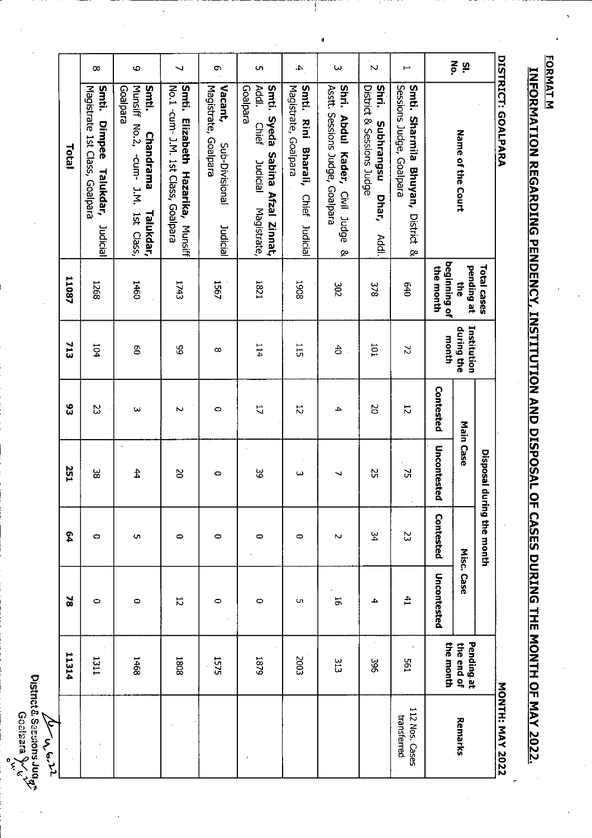**FORMATM** 

## INFORMATION REGARDING PENDENCY, INSTITUTION AND DISPOSAL OF CASES DURING THE MONTH OF MAY 2022.

|                             | DISTRICT: GOALPARA                                                                                               |                           |                           |                |                            |                |                |                          | MONTH: MAY 2022               |
|-----------------------------|------------------------------------------------------------------------------------------------------------------|---------------------------|---------------------------|----------------|----------------------------|----------------|----------------|--------------------------|-------------------------------|
|                             |                                                                                                                  | Total cases               |                           |                | Disposal du                | ring the month |                |                          |                               |
| $\overline{a}$              | Name of the Court                                                                                                | pending at<br>듷           | Institution<br>during the |                | Main Case                  |                | Misc. Case     | Pending at<br>the end of | Remarks                       |
| š                           |                                                                                                                  | beginning of<br>the month | month                     | Contested      | Uncontested                | Contested      | Uncontested    | the month                |                               |
| Ľ                           | Sessions Judge, Goalpara<br>Smti.<br><b>Sharmila</b><br>Bhuyan,<br>District<br>ø                                 | 340                       | $\overline{z}$            | $\overline{5}$ | Σ,<br>$\ddot{\phantom{a}}$ | S2             | $\ddot{4}$     | <b>195</b>               | 112 Nos. Cases<br>transferred |
| Z                           | Shri.<br>District & Sessions Judge<br>Subhrangsu<br>Dhar,<br>Addl.                                               | 378                       | IOI                       | 8              | Ω,                         | 54             | 4              | 395                      |                               |
| $\omega$                    | Asstt. Sessions Judge, Goalpara<br>Shri.<br>Abdul<br>Kader, Civil Judge<br>ø                                     | 302                       | 40<br>$\bar{ }$           | 4              | ↘                          | N              | $\overline{5}$ | 313                      |                               |
| $\mathcal{A}_{\mathcal{C}}$ | Magistrate, Goalpara<br>Smti.<br>Rini<br><b>Bharali,</b><br><b>Chief</b><br>Judicial                             | 8061                      | $\overline{11}$           | $\overline{c}$ | ω                          | 0              | CΠ             | 2003                     |                               |
| C                           | Addl.<br>Smti.<br>Goalpara<br><b>Syeda</b><br><b>Chief</b><br>Sabina<br>Judicial<br>Afzal Zinnat,<br>Magistrate, | 1821                      | 114                       | $\overline{L}$ | မွ                         | $\circ$        | $\circ$        | 5481                     |                               |
| Ō                           | Magistrate, Goalpara<br>Vacant,<br>Sub-Divisional<br>Judicial                                                    | 1567                      | $\infty$                  | ٥              | 0                          | $\circ$        | $\circ$        | <b>522</b>               |                               |
| ◡                           | No.1 -cum- J.M. 1st Class, Goalpara<br>Smti.<br>Elizabeth<br>Hazarika,<br>Munsiff                                | 1743                      | 89                        | N              | 20                         | $\circ$        | $\overline{5}$ | 8081                     |                               |
| Ю                           | Munsiff No.2,<br>Smti.<br>Goalpara<br><b>Chandrama</b><br>-cum- J.M.<br>Talukdar,<br>1st Class,                  | 1460                      | g                         | $\omega$       | $\mathcal{A}$              | Сŋ             | $\circ$        | 1468                     |                               |
| $\infty$                    | Smti.<br>Magistrate 1st Class, Goalpara<br>Dimpee<br>Talukdar,<br>Judicial                                       | 1268                      | 104                       | S2             | မ္လ                        | $\circ$        | $\circ$        | IIET                     |                               |
|                             | Total                                                                                                            | 11087                     | 713                       | 83             | <b>251</b>                 | $^{64}$        | $\mathbf{z}$   | 11314                    |                               |

District & Seesions Judge<br>District & Seesions Judge<br>Goalsara y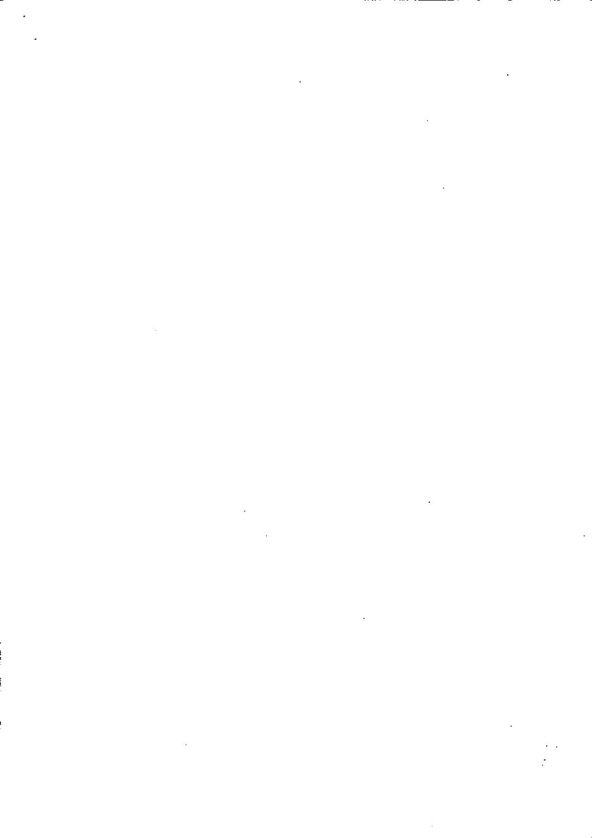$\mathcal{L}(\mathcal{L}^{\mathcal{L}})$  and  $\mathcal{L}^{\mathcal{L}}$  . In the  $\mathcal{L}^{\mathcal{L}}$ 

 $\mathcal{L}(\mathcal{L}^{\mathcal{L}})$  and  $\mathcal{L}(\mathcal{L}^{\mathcal{L}})$  and  $\mathcal{L}(\mathcal{L}^{\mathcal{L}})$ 

 $\label{eq:2.1} \frac{1}{\sqrt{2\pi}}\left(\frac{1}{\sqrt{2\pi}}\right)^{2} \left(\frac{1}{\sqrt{2\pi}}\right)^{2} \left(\frac{1}{\sqrt{2\pi}}\right)^{2} \left(\frac{1}{\sqrt{2\pi}}\right)^{2} \left(\frac{1}{\sqrt{2\pi}}\right)^{2} \left(\frac{1}{\sqrt{2\pi}}\right)^{2} \left(\frac{1}{\sqrt{2\pi}}\right)^{2} \left(\frac{1}{\sqrt{2\pi}}\right)^{2} \left(\frac{1}{\sqrt{2\pi}}\right)^{2} \left(\frac{1}{\sqrt{2\pi}}\right)^{2$  $\label{eq:2.1} \mathcal{L}(\mathcal{L}^{\mathcal{L}}_{\mathcal{L}}(\mathcal{L}^{\mathcal{L}}_{\mathcal{L}})) \leq \mathcal{L}(\mathcal{L}^{\mathcal{L}}_{\mathcal{L}}(\mathcal{L}^{\mathcal{L}}_{\mathcal{L}})) \leq \mathcal{L}(\mathcal{L}^{\mathcal{L}}_{\mathcal{L}}(\mathcal{L}^{\mathcal{L}}_{\mathcal{L}}))$  $\label{eq:2.1} \frac{1}{\sqrt{2}}\int_{\mathbb{R}^3}\frac{1}{\sqrt{2}}\left(\frac{1}{\sqrt{2}}\right)^2\left(\frac{1}{\sqrt{2}}\right)^2\left(\frac{1}{\sqrt{2}}\right)^2\left(\frac{1}{\sqrt{2}}\right)^2\left(\frac{1}{\sqrt{2}}\right)^2\left(\frac{1}{\sqrt{2}}\right)^2\left(\frac{1}{\sqrt{2}}\right)^2\left(\frac{1}{\sqrt{2}}\right)^2\left(\frac{1}{\sqrt{2}}\right)^2\left(\frac{1}{\sqrt{2}}\right)^2\left(\frac{1}{\sqrt{2}}\right)^2\left(\frac$ 

 $\mathcal{L}^{\text{max}}_{\text{max}}$  and  $\mathcal{L}^{\text{max}}_{\text{max}}$ 

 $\label{eq:2.1} \frac{1}{\sqrt{2}}\int_{\mathbb{R}^3}\frac{1}{\sqrt{2}}\left(\frac{1}{\sqrt{2}}\right)^2\frac{1}{\sqrt{2}}\left(\frac{1}{\sqrt{2}}\right)^2\frac{1}{\sqrt{2}}\left(\frac{1}{\sqrt{2}}\right)^2.$  $\label{eq:2.1} \mathcal{L}(\mathcal{L}^{\text{max}}_{\mathcal{L}}(\mathcal{L}^{\text{max}}_{\mathcal{L}}),\mathcal{L}^{\text{max}}_{\mathcal{L}}(\mathcal{L}^{\text{max}}_{\mathcal{L}}))$  $\begin{aligned} \frac{\partial}{\partial t} & = \frac{1}{2} \left( \frac{\partial}{\partial t} \right) \frac{\partial}{\partial t} \end{aligned}$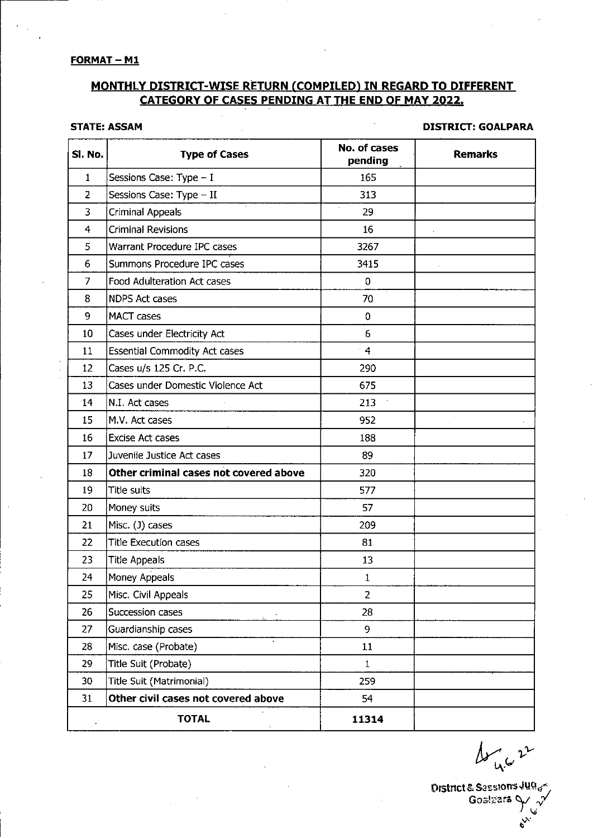## **FORMAT-Ml**

## **MONTHLY DISTRICT-WISE RETURN (COMPILED^ IN REGARD TO DIFFERENT CATEGORY OF CASES PENDING AT THE END OF MAY 2022.**

## **STATE: ASSAM DISTRICT: GOALPARA**

| SI. No.        | <b>Type of Cases</b>                   | No. of cases<br>pending | <b>Remarks</b> |
|----------------|----------------------------------------|-------------------------|----------------|
| $\mathbf{1}$   | Sessions Case: Type $- I$              | 165                     |                |
| $\overline{2}$ | Sessions Case: Type - II               | 313                     |                |
| 3              | Criminal Appeals                       | 29                      |                |
| $\overline{4}$ | <b>Criminal Revisions</b>              | 16                      |                |
| 5              | Warrant Procedure IPC cases            | 3267                    |                |
| 6              | Summons Procedure IPC cases            | 3415                    |                |
| 7              | <b>Food Adulteration Act cases</b>     | 0                       |                |
| 8              | <b>NDPS Act cases</b>                  | 70                      |                |
| 9              | <b>MACT</b> cases                      | 0                       |                |
| 10             | Cases under Electricity Act            | 6                       |                |
| 11             | <b>Essential Commodity Act cases</b>   | $\overline{4}$          |                |
| 12             | Cases u/s 125 Cr. P.C.                 | 290                     |                |
| 13             | Cases under Domestic Violence Act      | 675                     |                |
| 14             | N.I. Act cases                         | 213                     |                |
| 15             | M.V. Act cases                         | 952                     |                |
| 16             | Excise Act cases                       | 188                     |                |
| 17             | Juvenile Justice Act cases             | 89                      |                |
| 18             | Other criminal cases not covered above | 320                     |                |
| 19             | Title suits                            | 577                     |                |
| 20             | Money suits                            | 57                      |                |
| 21             | Misc. (J) cases                        | 209                     |                |
| 22             | Title Execution cases                  | 81                      |                |
| 23             | <b>Title Appeals</b>                   | 13                      |                |
| 24             | Money Appeals                          | $\mathbf{1}$            |                |
| 25             | Misc. Civil Appeals                    | $\overline{2}$          |                |
| 26             | Succession cases                       | 28                      |                |
| 27             | Guardianship cases                     | 9                       |                |
| 28             | Misc. case (Probate)                   | 11                      |                |
| 29             | Title Suit (Probate)                   | $\mathbf{1}$            |                |
| 30             | Title Suit (Matrimonial)               | 259                     |                |
| 31             | Other civil cases not covered above    | 54                      |                |
|                | <b>TOTAL</b>                           | 11314                   |                |

 $4 - 2$ 

District & Sassions Jug<sub>es</sub> Goalzara  $\sqrt{\frac{1}{6}}$ *\** **Vd**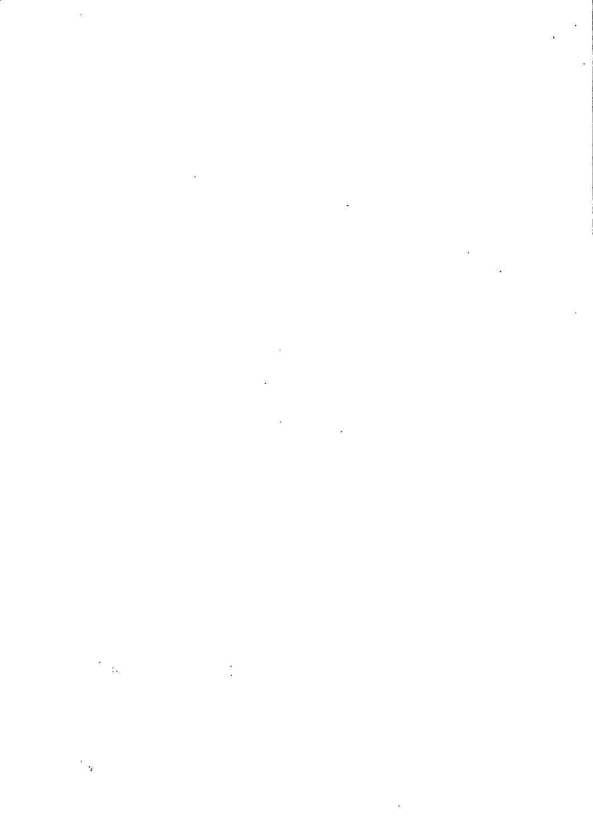$\label{eq:2.1} \frac{1}{\sqrt{2}}\left(\frac{1}{\sqrt{2}}\right)^{2} \left(\frac{1}{\sqrt{2}}\right)^{2} \left(\frac{1}{\sqrt{2}}\right)^{2} \left(\frac{1}{\sqrt{2}}\right)^{2} \left(\frac{1}{\sqrt{2}}\right)^{2} \left(\frac{1}{\sqrt{2}}\right)^{2} \left(\frac{1}{\sqrt{2}}\right)^{2} \left(\frac{1}{\sqrt{2}}\right)^{2} \left(\frac{1}{\sqrt{2}}\right)^{2} \left(\frac{1}{\sqrt{2}}\right)^{2} \left(\frac{1}{\sqrt{2}}\right)^{2} \left(\$ 

 $\frac{1}{2} \sum_{i=1}^n \frac{1}{2} \sum_{j=1}^n \frac{1}{2} \sum_{j=1}^n \frac{1}{2} \sum_{j=1}^n \frac{1}{2} \sum_{j=1}^n \frac{1}{2} \sum_{j=1}^n \frac{1}{2} \sum_{j=1}^n \frac{1}{2} \sum_{j=1}^n \frac{1}{2} \sum_{j=1}^n \frac{1}{2} \sum_{j=1}^n \frac{1}{2} \sum_{j=1}^n \frac{1}{2} \sum_{j=1}^n \frac{1}{2} \sum_{j=1}^n \frac{1}{2} \sum_{j=$ 

 $\label{eq:2.1} \mathcal{L}(\mathcal{L}^{\mathcal{L}}_{\mathcal{L}}(\mathcal{L}^{\mathcal{L}}_{\mathcal{L}})) \leq \mathcal{L}(\mathcal{L}^{\mathcal{L}}_{\mathcal{L}}(\mathcal{L}^{\mathcal{L}}_{\mathcal{L}})) \leq \mathcal{L}(\mathcal{L}^{\mathcal{L}}_{\mathcal{L}}(\mathcal{L}^{\mathcal{L}}_{\mathcal{L}}))$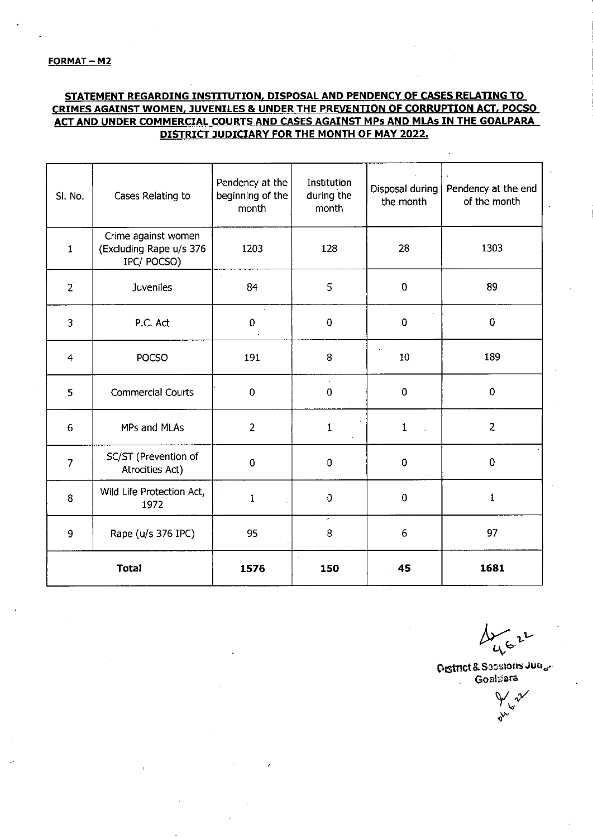## **STATEMENT REGARDING INSTITUTION. DISPOSAL AND PENDENCY OF CASES RELATING TO CRIMES AGAINST WOMEN. JUVENILES & UNDER THE PREVENTION OF CORRUPTION ACT. POCSO ACT AND UNDER COMMERCIAL COURTS AND CASES AGAINST MRS AND MLAs IN THE GOALPARA DISTRICT JUDICIARY FOR THE MONTH OF MAY 2022.**

| SI. No.         | Cases Relating to                                             | Pendency at the<br>beginning of the<br>month | Institution<br>during the<br>month | Disposal during<br>the month | Pendency at the end<br>of the month |
|-----------------|---------------------------------------------------------------|----------------------------------------------|------------------------------------|------------------------------|-------------------------------------|
| $\mathbf{1}$    | Crime against women<br>(Excluding Rape u/s 376<br>IPC/ POCSO) | 1203                                         | 128                                | 28                           | 1303                                |
| $2^{1}$         | <b>Juveniles</b>                                              | $\epsilon$<br>84                             | 5                                  | $\mathbf 0$                  | 89                                  |
| 3               | P.C. Act                                                      | $\pmb{0}$                                    | $\mathbf 0$                        | $\mathbf 0$                  | $\mathbf 0$                         |
| $\overline{4}$  | POCSO                                                         | 191                                          | 8                                  | 10                           | 189                                 |
| 5               | <b>Commercial Courts</b>                                      | $\mathbf 0$                                  | $\mathcal{L}$<br>$\bf{0}$          | $\pmb{0}$                    | $\mathbf 0$                         |
| $6\overline{6}$ | MPs and MLAs                                                  | $\overline{2}$                               | $\mathbf 1$                        | $\mathbf{1}$                 | $\overline{2}$                      |
| $\overline{7}$  | SC/ST (Prevention of<br>Atrocities Act)                       | $\overline{0}$                               | $\pmb{0}$                          | 0                            | $\mathbf 0$                         |
| 8               | Wild Life Protection Act,<br>1972                             | $\mathbf{1}$                                 | $\overline{0}$                     | $\bf{0}$                     | $\mathbf{1}$                        |
| 9               | Rape (u/s 376 IPC)                                            | 95                                           | 8                                  | 6                            | 97                                  |
|                 | <b>Total</b>                                                  | 1576                                         | 150                                | 45                           | 1681                                |

4.6.22

**District**& **Juo^.** Goalpara i.

*yj/*  $\mathbf{e}^{\mathbf{v}}$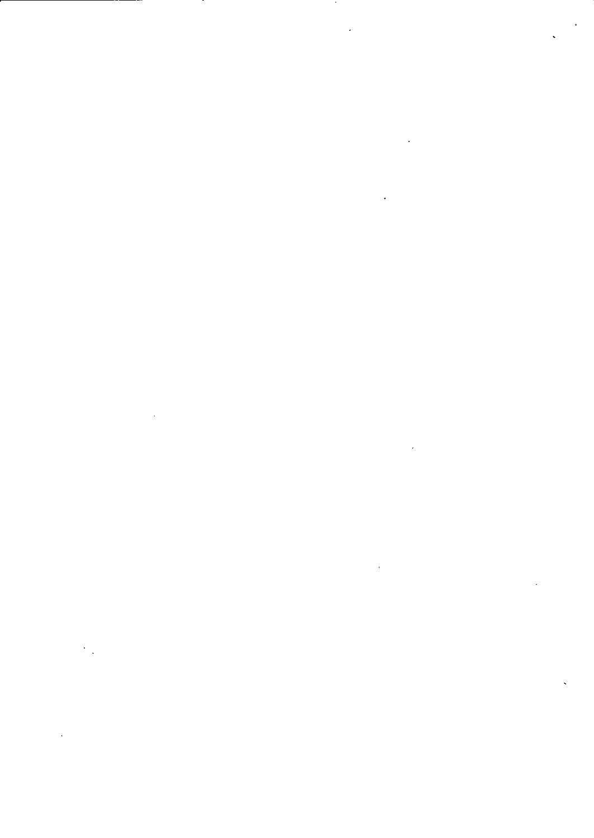$\label{eq:2.1} \frac{1}{\sqrt{2}}\int_{\mathbb{R}^3}\frac{1}{\sqrt{2}}\left(\frac{1}{\sqrt{2}}\right)^2\frac{1}{\sqrt{2}}\left(\frac{1}{\sqrt{2}}\right)^2\frac{1}{\sqrt{2}}\left(\frac{1}{\sqrt{2}}\right)^2\frac{1}{\sqrt{2}}\left(\frac{1}{\sqrt{2}}\right)^2.$  $\mathbb{R}^2$  $\label{eq:2.1} \frac{1}{\sqrt{2\pi}}\int_{\mathbb{R}^3}\frac{1}{\sqrt{2\pi}}\left(\frac{1}{\sqrt{2\pi}}\right)^2\frac{1}{\sqrt{2\pi}}\int_{\mathbb{R}^3}\frac{1}{\sqrt{2\pi}}\left(\frac{1}{\sqrt{2\pi}}\right)^2\frac{1}{\sqrt{2\pi}}\frac{1}{\sqrt{2\pi}}\int_{\mathbb{R}^3}\frac{1}{\sqrt{2\pi}}\frac{1}{\sqrt{2\pi}}\frac{1}{\sqrt{2\pi}}\frac{1}{\sqrt{2\pi}}\frac{1}{\sqrt{2\pi}}\frac{1}{\sqrt{2\$  $\label{eq:2.1} \frac{1}{\sqrt{2}}\int_{\mathbb{R}^3}\frac{1}{\sqrt{2}}\left(\frac{1}{\sqrt{2}}\right)^2\frac{1}{\sqrt{2}}\left(\frac{1}{\sqrt{2}}\right)^2\frac{1}{\sqrt{2}}\left(\frac{1}{\sqrt{2}}\right)^2\frac{1}{\sqrt{2}}\left(\frac{1}{\sqrt{2}}\right)^2\frac{1}{\sqrt{2}}\left(\frac{1}{\sqrt{2}}\right)^2\frac{1}{\sqrt{2}}\frac{1}{\sqrt{2}}\frac{1}{\sqrt{2}}\frac{1}{\sqrt{2}}\frac{1}{\sqrt{2}}\frac{1}{\sqrt{2}}$  $\label{eq:2.1} \frac{1}{\sqrt{2}}\int_{\mathbb{R}^3} \frac{1}{\sqrt{2}}\left(\frac{1}{\sqrt{2}}\right)^2\frac{1}{\sqrt{2}}\left(\frac{1}{\sqrt{2}}\right)^2\frac{1}{\sqrt{2}}\left(\frac{1}{\sqrt{2}}\right)^2\frac{1}{\sqrt{2}}\left(\frac{1}{\sqrt{2}}\right)^2\frac{1}{\sqrt{2}}\left(\frac{1}{\sqrt{2}}\right)^2\frac{1}{\sqrt{2}}\frac{1}{\sqrt{2}}\frac{1}{\sqrt{2}}\frac{1}{\sqrt{2}}\frac{1}{\sqrt{2}}\frac{1}{\sqrt{2$  $\label{eq:2.1} \frac{1}{2} \int_{\mathbb{R}^3} \frac{1}{\sqrt{2\pi}} \int_{\mathbb{R}^3} \frac{1}{\sqrt{2\pi}} \int_{\mathbb{R}^3} \frac{1}{\sqrt{2\pi}} \int_{\mathbb{R}^3} \frac{1}{\sqrt{2\pi}} \int_{\mathbb{R}^3} \frac{1}{\sqrt{2\pi}} \int_{\mathbb{R}^3} \frac{1}{\sqrt{2\pi}} \int_{\mathbb{R}^3} \frac{1}{\sqrt{2\pi}} \int_{\mathbb{R}^3} \frac{1}{\sqrt{2\pi}} \int_{\mathbb{R}^3}$ 

 $\mathcal{L}(\mathcal{L}^{\text{max}})$  .

 $\mathcal{O}(\mathcal{O}_\mathcal{O})$  . The contract of the contract of the contract of the contract of the contract of the contract of the contract of the contract of the contract of the contract of the contract of the contract of the co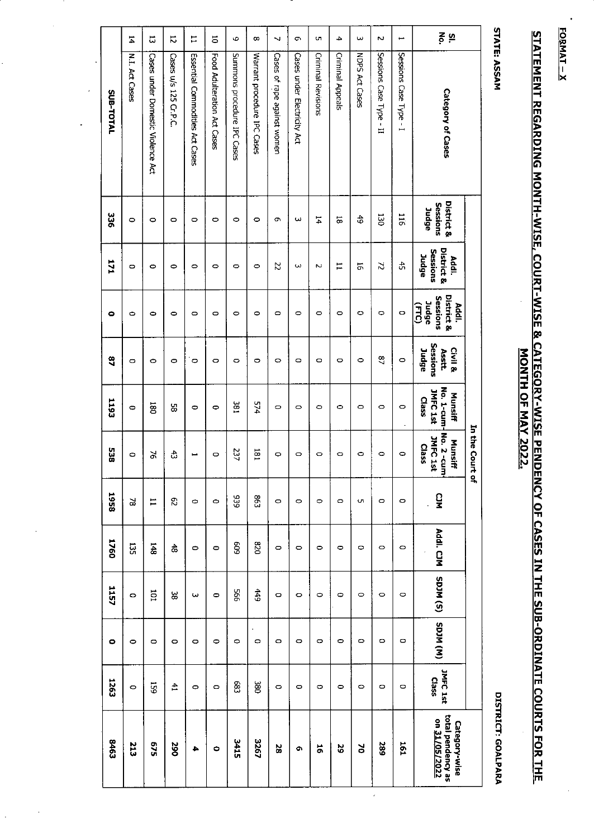## FORMAT-X

 $\ddot{\phantom{1}}$ 

# <u>STATEMENT REGARDING MONTH-WISE, COURT-WISE & CATEGORY-WISE PENDENCY OF CASES IN THE SUB-ORDINATE COURTS FOR THE<br>MONTH OF STATEMENT DEGARDING MONTH-WISE, COURT-WISE & CATEGORY-WISE PENDENCY OF CASES IN THE SUB-ORDINATE COU</u>

## STATE: ASSAM

DISTRICT: GOALPARA

|                          |                                   |                                            |                                                     |                                                              |                                                        |                                             | In the Court of                                   |           |                 |                     |           |                          |                                                     |
|--------------------------|-----------------------------------|--------------------------------------------|-----------------------------------------------------|--------------------------------------------------------------|--------------------------------------------------------|---------------------------------------------|---------------------------------------------------|-----------|-----------------|---------------------|-----------|--------------------------|-----------------------------------------------------|
| ទី ត                     | Category of Cases                 | <b>District &amp;</b><br>Sessions<br>Judge | <b>District &amp;</b><br>Sessions<br>Judge<br>Addl. | <b>District &amp;</b><br>Sessions<br>Judge<br>Addl.<br>(FTC) | Sessions<br><b>Givil &amp;</b><br><b>Judge</b><br>Asst | No. 1-cum-1<br>JMFC 1st<br>Munsiff<br>Class | No. 2 -cum<br>JNFC 1st<br>Munsiff<br><b>Class</b> | <b>C</b>  | Addi. CJM       | SDJM <sub>(S)</sub> | (M) MCOS  | JMFC 1st<br><b>Class</b> | total pendency as<br>on 31/05/2022<br>Category-wise |
| $\overline{\phantom{0}}$ | Sessions Case Type - I            | ite                                        | ᡱ                                                   | $\circ$                                                      | $\circ$                                                | $\circ$                                     | $\circ$                                           | $\circ$   | $\circ$         | $\circ$             | o         | ٥                        | 161                                                 |
| $\sim$                   | Sessions Case Type - II           | $\overline{5}$                             | $\mathcal{L}$                                       | O                                                            | $\overline{a}$                                         | $\circ$                                     | $\circ$                                           | 0         | $\circ$         | $\circ$             | 0         | ۰                        | 289                                                 |
| ىب                       | NDPS Act Cases                    | \$                                         | $\overline{5}$                                      | 0                                                            | $\circ$                                                | $\circ$                                     | 0                                                 | S         | $\circ$         | $\circ$             | $\circ$   | $\circ$                  | ă                                                   |
| 4                        | Criminal Appeals                  | 6                                          | Н                                                   | $\circ$                                                      | $\circ$                                                | $\circ$                                     | $\circ$                                           | O         | $\circ$         | $\circ$             | $\circ$   | $\circ$                  | 52                                                  |
| UT.                      | Criminal Revisions                | $\frac{1}{4}$                              | $\sim$                                              | $\circ$                                                      | $\circ$                                                | ۰                                           | $\circ$                                           | 0         | $\circ$         | $\circ$             | $\circ$   | $\circ$                  | $\overline{5}$                                      |
| ō                        | Cases under Electricity Act       | ىب                                         | $\omega$                                            | $\circ$                                                      | $\circ$                                                | $\circ$                                     | 0                                                 | $\circ$   | $\circ$         | $\circ$             | 0         | ۰                        | Q,                                                  |
| $\overline{\phantom{0}}$ | Cases of rape against women       | ō                                          | 22                                                  | $\circ$                                                      | 0                                                      | $\circ$                                     | 0                                                 | $\circ$   | $\circ$         | $\circ$             | $\circ$   | $\circ$                  | 52                                                  |
| $\infty$                 | Warrant procedure IPC Cases       | $\circ$                                    | O                                                   | $\circ$                                                      | $\circ$                                                | 574                                         | 181                                               | 863       | 0Z8             | 449                 | ٥         | 380                      | 3267                                                |
| Ю                        | Summons procedure IPC Cases       | $\circ$                                    | 0                                                   | $\circ$                                                      | 0                                                      | 185                                         | 237                                               | 939       | 8               | 995                 | ۰         | 683                      | <b>3415</b>                                         |
| 5                        | Food Adulteration Act Cases       | ۰                                          | O                                                   | $\circ$                                                      | $\circ$                                                | $\bullet$                                   | $\circ$                                           | $\circ$   | $\bullet$       | $\bullet$           | $\bullet$ | $\circ$                  | $\bullet$                                           |
| H                        | Essential Commodities Act Cases   | ٥                                          | ۰                                                   | $\circ$                                                      | $\circ$                                                | $\circ$                                     | $\blacksquare$                                    | $\circ$   | 0               | سا                  | ۰         | $\bullet$                | 4                                                   |
| $\overline{c}$           | Cases u/s 125 Cr.P.C.             | ۰                                          | $\bullet$                                           | $\circ$                                                      | $\bullet$                                              | S3                                          | ය                                                 | S)        | कै              | 33                  | $\circ$   | 41                       | <b>S90</b>                                          |
| ί,                       | Cases under Domestic Violence Act | ۰                                          | 0                                                   | 0                                                            | 0                                                      | $\overline{180}$                            | ă                                                 | Ξ         | $\overline{48}$ | IOI                 | $\circ$   | $\overline{5}$           | $\frac{5}{2}$                                       |
| 14                       | N.I. Act Cases                    | 0                                          | O                                                   | ۰                                                            | $\circ$                                                | ۰                                           | $\circ$                                           | $\approx$ | 52              | $\circ$             | $\circ$   | $\circ$                  | 213                                                 |
|                          | <b>SUB-TOTAL</b>                  | 336                                        | 171                                                 | $\bullet$                                                    | $\overline{\mathbf{a}}$                                | 1193                                        | 538                                               | 3361      | 1760            | 1157                | $\bullet$ | 1263                     | <b>S463</b>                                         |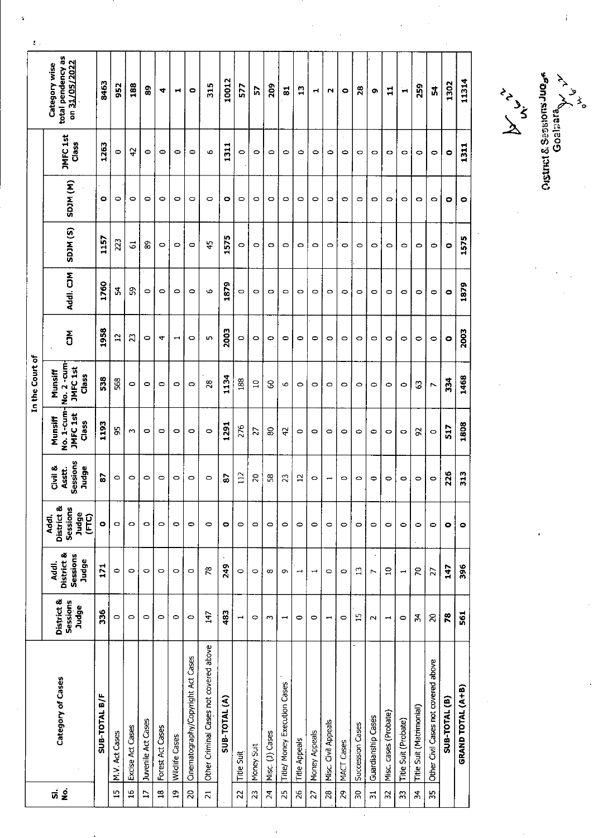|                 | total pendency as<br>on 31/05/2022<br>Category wise | 8463          | 952            | 188              | 3                  | 4                | $\blacksquare$ | $\bullet$                          | 315                                    | 10012          | 577                   | Ľ5            | 209             | 51                           | $\boldsymbol{\mathsf{a}}$ | Н                        | N                        | $\bullet$  | $\overline{28}$       | o                  | 님                        | $\blacksquare$           | 259                      | Ľ,                                  | 1302          | 11314                    |
|-----------------|-----------------------------------------------------|---------------|----------------|------------------|--------------------|------------------|----------------|------------------------------------|----------------------------------------|----------------|-----------------------|---------------|-----------------|------------------------------|---------------------------|--------------------------|--------------------------|------------|-----------------------|--------------------|--------------------------|--------------------------|--------------------------|-------------------------------------|---------------|--------------------------|
|                 | JMFC 1st<br>Class                                   | 1263          | $\bullet$      | 5                | $\bullet$          | $\circ$          | $\bullet$      | $\bullet$                          | Ю                                      | 131            | $\circ$               | $\circ$       | $\circ$         | 0                            | $\circ$                   | 0                        | ۰                        | 0          | 0                     | $\circ$            | 0                        | $\circ$                  | 0                        | $\circ$                             | $\bullet$     | 1311                     |
|                 | (M) NICGS                                           | ۰             | ۰              | ۰                | $\circ$            | 0                | $\circ$        | 0                                  | 0                                      | ۰              | $\circ$               | 0             | $\circ$         | 0                            | $\circ$                   | ٥                        | ٥                        | $\circ$    | $\circ$               | 0                  | $\circ$                  | $\circ$                  | $\circ$                  | $\circ$                             | ۰             | ۰                        |
|                 | SDJM(S)                                             | 1157          | 223            | 5                | 8                  | $\circ$          | $\circ$        | ٥                                  | 45                                     | 575            | $\circ$               | $\circ$       | $\circ$         | ٥                            | $\circ$                   | ٥                        | 0                        | $\bullet$  | 0                     | $\circ$            | $\circ$                  | ۰                        | $\circ$                  | $\circ$                             | ۰             | 1575                     |
|                 | Addl. CJM                                           | 1760          | S,             | SS               | $\circ$            | $\circ$          | $\circ$        | ۰                                  | e                                      | 1879           | 0                     | $\circ$       | $\circ$         | $\circ$                      | $\circ$                   | 0                        | $\circ$                  | ٥          | ۰                     | $\circ$            | $\circ$                  | $\circ$                  | $\circ$                  | $\circ$                             | $\bullet$     | 1879                     |
|                 | $\overline{5}$                                      | 1958          | $\mathbf{r}$   | $\mathbf{z}$     | $\circ$            | 4                | $\overline{ }$ | 0                                  | m                                      | 2003           | $\circ$               | $\circ$       | O               | 0                            | $\circ$                   | $\circ$                  | $\circ$                  | $\circ$    | 0                     | $\circ$            | $\circ$                  | $\circ$                  | $\bullet$                | $\circ$                             | $\bullet$     | 2003                     |
| In the Court of | No. 2 -cum<br><b>JMFC 1st</b><br>Munsiff<br>Class   | 538           | 568            | ۰                | $\circ$            | $\circ$          | ۰              | $\circ$                            | 28                                     | 1134           | 188                   | $\Xi$         | 8               | 6                            | $\circ$                   | $\circ$                  | $\circ$                  | $\circ$    | $\circ$               | $\circ$            | $\bullet$                | $\circ$                  | G                        | L                                   | 334           | 1468                     |
|                 | No. 1-cum-<br>JMFC 1st<br>Munsiff<br><b>Class</b>   | 1193          | 5              | w                | 0                  | c                | 0              | $\circ$                            | $\circ$                                | 1291           | 276                   | 27            | 8               | $\mathcal{L}$                | $\circ$                   | 0                        | $\circ$                  | ۰          | 0                     | ۰                  | $\circ$                  | $\circ$                  | 5                        | $\circ$                             | 517           | 1808                     |
|                 | Sessions<br>Civil &<br>Judge<br>Asstt.              | 2             | ٥              | 0                | $\circ$            | o                | $\circ$        | $\circ$                            | $\circ$                                | S,             | $\overline{112}$      | $\mathcal{S}$ | 58              | $\mathfrak{Z}$               | 12                        | $\circ$                  | ⊣                        | $\circ$    | $\circ$               | $\circ$            | $\circ$                  | $\circ$                  | $\circ$                  | 0                                   | 226           | 313                      |
|                 | District &<br>Sessions<br>Judge<br>(FTC)<br>Add.    | ۰             | $\circ$        | $\circ$          | $\circ$            | $\circ$          | $\circ$        | $\circ$                            | $\circ$                                | ۰              | $\circ$               | $\circ$       | $\circ$         | ۰                            | $\circ$                   | $\circ$                  | $\circ$                  | $\circ$    | $\circ$               | $\circ$            | o                        | $\bullet$                | $\circ$                  | $\bullet$                           | $\bullet$     | $\bullet$                |
|                 | District &<br>Sessions<br>Judge<br>Addl.            | 171           | $\circ$        | 0                | $\circ$            | $\circ$          | $\circ$        | $\circ$                            | 78                                     | $\cdot$<br>249 | 0                     | $\circ$       | ∞               | Ō                            | $\overline{\phantom{0}}$  | $\overline{\phantom{0}}$ | $\circ$                  | $\circ$    | $\mathbf{u}$          | Z                  | $\mathbf{a}$             | $\overline{\phantom{0}}$ | 50                       | 27                                  | 147           | 396                      |
|                 | District &<br>Sessions<br>Judge                     | 336           | $\circ$        | $\circ$          | $\circ$            | $\circ$          | $\circ$        | $\circ$                            | 147                                    | 483            | $\mathbf{\mathbf{H}}$ | 0             | S               | $\overline{\phantom{0}}$     | $\circ$                   | $\circ$                  | $\overline{\phantom{0}}$ | $\circ$    | $\frac{1}{2}$         | $\sim$             | $\overline{\phantom{0}}$ | $\circ$                  | 24                       | $\approx$                           | $\mathbf{r}$  | 561                      |
|                 | Category of Cases                                   | SUB-TOTAL B/F | M.V Act Cases  | Excise Act Cases | Juvenile Act Cases | Forest Act Cases | Wildlife Cases | Cinematography/Copyright Act Cases | Other Criminal Cases not covered above | SUB-TOTAL (A)  | Title Suit            | Money Suit    | Misc. (J) Cases | Title/ Money Execution Cases | Title Appeals             | Money Appeals            | Misc. Civil Appeals      | MACT Cases | J<br>Succession Cases | Guardianship Cases | Misc. cases (Probate)    | Title Suit (Probate)     | Title Suit (Matrimonial) | Other Civil Cases not covered above | SUB-TOTAL (B) | <b>GRAND TOTAL (A+B)</b> |
|                 | <u>ត់ ខ្</u>                                        |               | $\overline{1}$ | 51               | $\overline{L}$     | $\mathbf{r}$     | $\Xi$          | $\mathcal{R}$                      | $\overline{z}$                         |                | $\mathcal{L}$         | $\mathbf{z}$  | $\overline{24}$ | 25                           | 26                        | 27                       | $\mathbf{a}$             | 29         | $\overline{30}$       | $\Xi$              | 32                       | $\mathfrak{Z}$           | z                        | 35                                  |               |                          |

Ł,

**WARRESSERIES**<br>PEDITE SESSIONS JUD<sub>SIG</sub><br>COSISSIGN WARRESS

í

१<br>४<br>०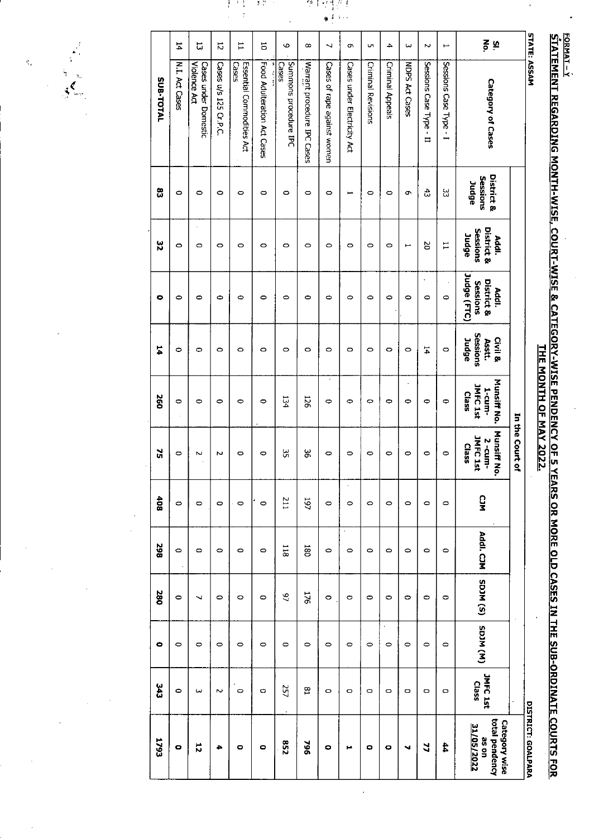# <u>FORMAT – Y</u><br>ŠŤATEMENT REGARDING M<u>ONTH-WISE, COURT-WISE & CATEGORY-WISE PENDENCY OF 5 YEARS OR MORE OLD CASES IN THE SUB-ORDINATE COURTS FOR</u>

 $\overline{\phantom{a}}$ 

|                       | STATE: ASSAM                         |                                            |                                          |                                                |                                                 |                                                             |                                                                 |            |                  |               |                    |                          | <b>DISTRICT: GOALPARA</b>                              |
|-----------------------|--------------------------------------|--------------------------------------------|------------------------------------------|------------------------------------------------|-------------------------------------------------|-------------------------------------------------------------|-----------------------------------------------------------------|------------|------------------|---------------|--------------------|--------------------------|--------------------------------------------------------|
|                       |                                      |                                            |                                          |                                                |                                                 |                                                             | In the Court of                                                 |            |                  |               |                    |                          |                                                        |
| ღ ლ                   | Category of Cases                    | <b>District &amp;</b><br>Sessions<br>Judge | District &<br>Sessions<br>Judge<br>Addl. | Judge (FTC)<br>Sessions<br>District &<br>Addl. | Sessions<br>Judge<br><b>Civil &amp;</b><br>Asst | <b>Munsiff No.</b><br>JMFC 1st<br>$1$ -cum-<br><b>Class</b> | <b>Munsiff No.</b><br>JMFC <sub>1st</sub><br>$2$ -cum-<br>Class | ្ទ្រ       | Addi. CJM        | (S) MCGS      | SDJM(M)            | JMFC 1st<br><b>Class</b> | total pendency<br>Category wise<br>31/05/2022<br>uo se |
| ⊢                     | Sessions Case Type - 1               | ಜ                                          | $\mathbf{L}$                             | $\circ$                                        | $\circ$                                         | $\circ$                                                     | $\circ$                                                         | $\circ$    | $\circ$          | $\circ$       | $\circ$            | 0                        | 44                                                     |
| $\tilde{\phantom{a}}$ | Sessions Case Type - II              | ౘ                                          | <b>D</b>                                 | ۰                                              | $\vec{4}$                                       | $\circ$                                                     | $\circ$                                                         | $\circ$    | $\circ$          | $\circ$       | $\circ$            | $\circ$                  | $\mathbf{r}$                                           |
| ω                     | NDPS Act Cases                       | G                                          | $\mapsto$                                | $\circ$                                        | $\circ$                                         | $\circ$                                                     | $\circ$                                                         | $\circ$    | ۰                | $\circ$       | $\circ$            | o                        | ч                                                      |
| 4                     | Criminal Appeals                     | $\circ$                                    | 0                                        | 0                                              | $\circ$                                         | $\circ$                                                     | $\circ$                                                         | $\circ$    | $\circ$          | $\circ$       | $\cdot$<br>$\circ$ | $\circ$                  | ۰                                                      |
| Uп                    | Criminal Revisions                   | $\circ$                                    | $\circ$                                  | $\circ$                                        | $\circ$                                         | $\ddot{\circ}$                                              | $\circ$                                                         | $\circ$    | $\circ$          | $\circ$       | $\circ$            | $\circ$                  | $\bullet$                                              |
| Ō,                    | Cases under Electricity Act          | I                                          | $\circ$                                  | $\circ$                                        | $\circ$                                         | 0                                                           | $\circ$                                                         | O          | $\circ$          | $\circ$       | $\circ$            | $\circ$                  | н                                                      |
| N                     | Cases of rape against women          | 0                                          | $\circ$                                  | $\circ$                                        | Ò                                               | 0                                                           | 0                                                               | ¢          | 0                | 0             | $\circ$            | O                        | ۰                                                      |
| œ                     | Warrant procedure IPC Cases          | $\circ$                                    | $\circ$                                  | 0                                              | $\circ$                                         | 126                                                         | ب<br>م                                                          | 161        | $\overline{180}$ | 176           | 0                  | ဇ္ဘ                      | 962                                                    |
| 6                     | Summons procedure IPC<br>Cases       | $\circ$                                    | 0                                        | $\circ$                                        | $\circ$                                         | 134                                                         | ပ္ပ                                                             | <b>Z11</b> | 118              | $\mathcal{L}$ | $\circ$            | 257                      | 258                                                    |
| 5                     | Food Adulteration Act Cases          | Φ                                          | $\circ$                                  | $\circ$                                        | O                                               | $\circ$                                                     | $\circ$                                                         | O          | ۰                | $\circ$       | $\circ$            | O                        | $\bullet$                                              |
| Ë                     | Essential Commodities Act<br>CaseS   | $\circ$                                    | $\circ$                                  | $\circ$                                        | $\circ$                                         | 0                                                           | 0                                                               | $\circ$    | $\circ$          | $\circ$       | $\circ$            | $\circ$                  | $\bullet$                                              |
| 12                    | Cases u/s 125 Cr.P.C.                | $\circ$                                    | $\circ$                                  | $\bullet$                                      | $\circ$                                         | 0                                                           | N                                                               | $\bullet$  | 0                | 0             | $\circ$            | Z                        | 4                                                      |
| E)                    | Violence Act<br>Cases under Domestic | $\circ$                                    | 0                                        | $\bullet$                                      | $\bullet$                                       | $\circ$                                                     | $\sim$                                                          | $\bullet$  | $\circ$          | ↘             | $\circ$            | $\omega$                 | 12                                                     |
| 14                    | <b>N.I. Act Cases</b>                | $\circ$                                    | $\circ$                                  | 0                                              | $\bullet$                                       | O                                                           | $\circ$                                                         | $\bullet$  | $\circ$          | $\bullet$     | $\circ$            | $\bullet$                | ۰                                                      |
|                       | <b>SUB-TOTAL</b>                     | 3                                          | $\frac{2}{3}$                            | $\bullet$                                      | 14                                              | 560                                                         | 5Å                                                              | 80\$       | <b>S6Z</b>       | 280           | $\bullet$          | 343                      | <b>E6/T</b>                                            |

 $\hat{\mathbf{x}}_i$  Ĩ  $\frac{1}{2}$  $\overline{\mathcal{P}}$   $\overline{a}$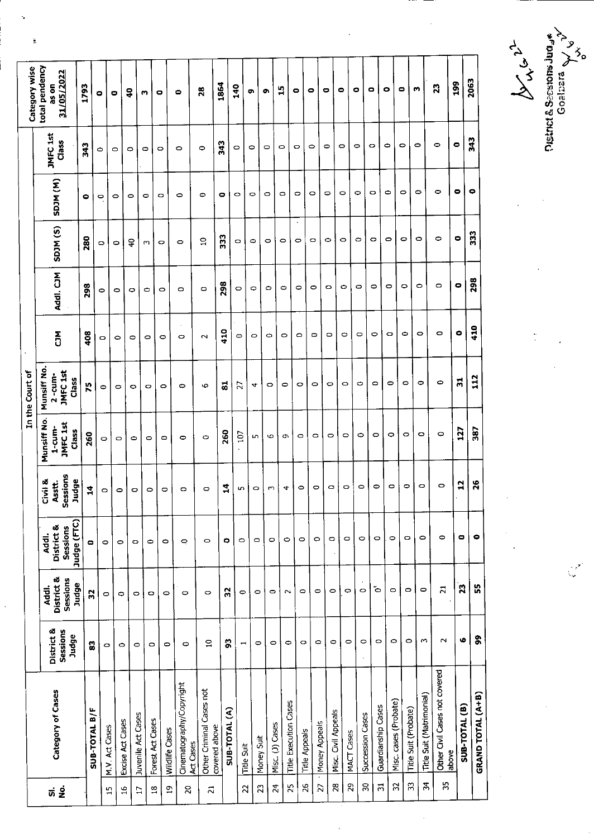|                                  |                                           |                                 |                                          |                                               |                                            |                                                     | In the Court of                                      | $\hat{\phantom{a}}$ |           |                    |           |                          | Category wise                           |
|----------------------------------|-------------------------------------------|---------------------------------|------------------------------------------|-----------------------------------------------|--------------------------------------------|-----------------------------------------------------|------------------------------------------------------|---------------------|-----------|--------------------|-----------|--------------------------|-----------------------------------------|
| ಕ ತೆ                             | Category of Cases                         | District &<br>Sessions<br>Judge | District &<br>Sessions<br>Judge<br>Addl. | Judge (FTC)<br>District &<br>Sessions<br>Add. | essions<br>Judge<br>Civil &<br>Asstt.<br>U | Munsiff No.<br><b>JMFC1st</b><br>$1$ -cum-<br>Class | Munsiff No.<br><b>JMFC 1st</b><br>$2$ -cum-<br>Class | $\overline{5}$      | Addl. CJM | SDJM(S)            | (M) MCGS  | <b>JMFC 1st</b><br>Class | total pendency<br>31/05/2022<br>ns<br>S |
|                                  | SUB-TOTAL B/F                             | ឌ                               | N                                        | ۰                                             | $\mathbf{r}$                               | 260                                                 | 15                                                   | 408                 | 298       | 280                | ۰         | 343                      | 1793                                    |
|                                  |                                           |                                 | $\circ$                                  | $\circ$                                       | $\circ$                                    | $\circ$                                             | ۰                                                    | o                   | ۰         | $\circ$            | $\circ$   | $\circ$                  | ۰                                       |
| $\mathbf{D}$                     | M.V. Act Cases                            | $\circ$                         |                                          |                                               | $\circ$                                    | $\circ$                                             | 0                                                    | ۰                   | ۰         | $\circ$            | $\circ$   | ٥                        | $\bullet$                               |
| $\frac{6}{1}$                    | Excise Act Cases                          | $\circ$                         | $\circ$                                  | $\circ$                                       |                                            |                                                     |                                                      |                     |           | Ş                  | 0         | 0                        | ទ្                                      |
| H                                | Juvenile Act Cases                        | $\circ$                         | $\circ$                                  | $\circ$                                       | 0                                          | $\circ$                                             | 0                                                    | $\circ$             | ۰         |                    |           |                          |                                         |
| $\frac{8}{10}$                   | Forest Act Cases                          | O                               | $\circ$                                  | $\circ$                                       | $\circ$                                    | $\circ$                                             | $\circ$                                              | $\circ$             | $\circ$   | <b>CO</b>          | $\circ$   | $\circ$                  | m                                       |
| $\overline{a}$                   | Wildlife Cases                            | 0                               | $\bullet$                                | ۰                                             | ۰                                          | O                                                   | $\circ$                                              | $\circ$             | $\circ$   | $\circ$            | $\circ$   | $\circ$                  | $\bullet$                               |
| $\Omega$                         | Cinematography/Copyright<br>Act Cases     | O                               | $\circ$                                  | $\circ$                                       | $\circ$                                    | 0                                                   | $\circ$                                              | $\circ$             | ٥         | $\circ$            | ۰         | 0                        | $\bullet$                               |
| $\overline{z}$                   | Other Criminal Cases not<br>covered above | $\overline{a}$                  | $\circ$                                  | $\circ$                                       | $\circ$                                    | ٥                                                   | ٠                                                    | $\sim$              | $\circ$   | $\Xi$              | ۰         | 0                        | 28                                      |
|                                  | SUB-TOTAL (A)                             | ဌ                               | 25                                       | $\bullet$                                     | 4                                          | 260                                                 | 81                                                   | 410                 | 298       | 333                | ۰         | 343                      | 1864                                    |
| $\overline{2}$                   | Title Suit                                | $\overline{\phantom{0}}$        | $\circ$                                  | $\circ$                                       | S                                          | $\overline{5}$                                      | 21                                                   | ⇔                   | 0         | $\circ$            | $\circ$   | $\circ$                  | 140                                     |
| $\overline{2}$                   | Money Suit                                | $\circ$                         | $\circ$                                  | $\qquad \qquad \Box$                          | $\circ$                                    | S                                                   | ₩                                                    | $\circ$             | ۰         | $\circ$            | $\circ$   | $\circ$                  | Q)                                      |
| $\overline{2}$                   | Misc. (J) Cases                           | $\circ$                         | $\circ$                                  | $\circ$                                       | $\sim$                                     | 6                                                   | $\circ$                                              | $\circ$             | 0         | $\circ$            | 0         | 0                        | ō                                       |
| 25                               | Title Execution Cases                     | $\circ$                         | $\sim$                                   | $\circ$                                       | 4                                          | ō                                                   | $\circ$                                              | $\circ$             | $\circ$   | $\circ$            | $\circ$   | ۰                        | 15                                      |
|                                  | Title Appeals                             | $\circ$                         | $\circ$                                  | $\circ$                                       | $\circ$                                    | ٥                                                   | $\circ$                                              | $\circ$             | $\circ$   | $\cdot$<br>$\circ$ | $\circ$   | 0                        | $\bullet$                               |
| 26<br>Z,                         | Money Appeals                             | $\circ$                         | ¢                                        | $\circ$                                       | $\circ$                                    | 0                                                   | $\circ$                                              | ٥                   | 0         | 0                  | $\circ$   | 0                        | $\bullet$                               |
| 28                               | Misc. Civil Appeals                       | ۰                               | $\circ$                                  | $\circ$                                       | $\circ$                                    | $\circ$                                             | 0                                                    | $\circ$             | $\circ$   | $\circ$            | 0         | 0                        | $\bullet$                               |
| $29$                             | MACT Cases                                | $\circ$                         | $\Rightarrow$                            | $\circ$                                       | $\circ$                                    | $\circ$                                             | $\circ$                                              | $\circ$             | $\circ$   | $\circ$            | 0         | 0                        | $\bullet$                               |
|                                  | Succession Cases                          | $\circ$<br>$\ddot{\phantom{a}}$ | $\circ$                                  | $\circ$                                       | $\circ$                                    | 0                                                   | $\circ$                                              | $\circ$             | $\circ$   | $\circ$            | $\bullet$ | $\circ$                  | $\bullet$                               |
| $\mathfrak{B}$<br>$\overline{5}$ | Guardianship Cases                        | $\circ$                         | Ō                                        | $\circ$                                       | 0                                          | ۰                                                   | $\circ$                                              | $\circ$             | $\circ$   | $\circ$            | $\circ$   | $\circ$                  | ۰                                       |
|                                  |                                           | $\circ$                         | O                                        | $\circ$                                       | $\circ$                                    | ٥                                                   | $\circ$                                              | 0                   | O         | 0                  | ۰         | ۰                        | ۰                                       |
| $\approx$                        | Misc. cases (Probate)                     | $\circ$                         | $\circ$                                  | $\circ$                                       | ۰                                          | $\circ$                                             | $\circ$                                              | $\circ$             | $\circ$   | ٥                  | $\circ$   | 0                        | $\bullet$                               |
| χ                                | Title Suit (Probate)                      |                                 |                                          | $\circ$                                       | 0                                          | o                                                   | $\circ$                                              | 0                   | $\circ$   | $\circ$            | $\circ$   | $\bullet$                | m                                       |
| 54                               | Title Suit (Matrimonial)                  | S                               | $\circ$                                  |                                               |                                            |                                                     |                                                      |                     |           |                    |           |                          |                                         |
| 55                               | Other Civil Cases not covered<br>above    | $\sim$                          | $\overline{z}$                           | $\bullet$                                     | 0                                          | $\circ$                                             | ۰                                                    | 0                   | 0         | 0                  | 0         | $\bullet$                | ដ                                       |
|                                  | SUB-TOTAL (B)                             | O                               | 23                                       | $\bullet$                                     | $\mathbf{r}$                               | 127                                                 | $\frac{1}{2}$                                        | ۰                   | $\bullet$ | $\bullet$          | ۰         | $\bullet$                | <b>99</b>                               |
|                                  | GRAND TOTAL (A+B)                         | 99                              | ង                                        | $\bullet$                                     | $\frac{6}{2}$                              | 387                                                 | 112                                                  | 410                 | 298       | 333                | $\bullet$ | 343                      | 2063                                    |
|                                  |                                           |                                 |                                          |                                               |                                            |                                                     |                                                      |                     |           |                    |           |                          |                                         |

 $\hat{\mathcal{A}}$ 

PLACE Sections Judget